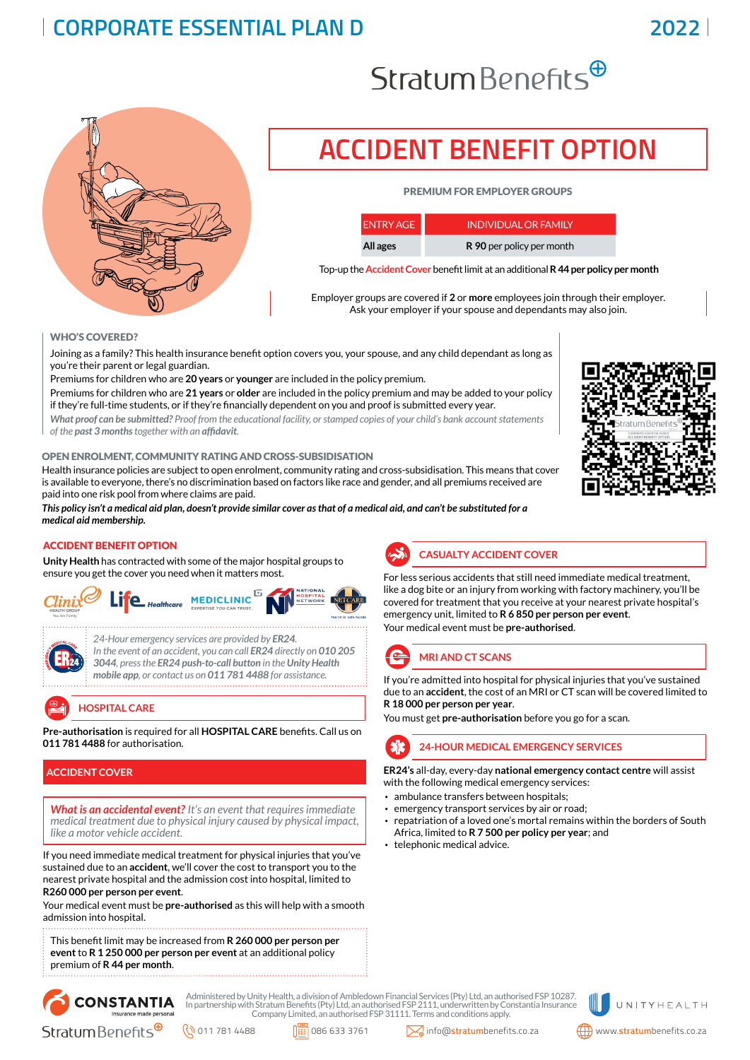### **CORPORATE ESSENTIAL PLAN D**

# $Stratum Benefits^{\oplus}$



## **ACCIDENT BENEFIT OPTION**

#### PREMIUM FOR EMPLOYER GROUPS

| <b>ENTRY AGE</b> | <b>INDIVIDUAL OR FAMILY</b> |
|------------------|-----------------------------|
| All ages         | R 90 per policy per month   |

Top-up the **Accident Cover** benefit limit at an additional **R 44 per policy per month**

Employer groups are covered if **2** or **more** employees join through their employer. Ask your employer if your spouse and dependants may also join.

#### WHO'S COVERED?

Joining as a family? This health insurance benefit option covers you, your spouse, and any child dependant as long as you're their parent or legal guardian.

Premiums for children who are **20 years** or **younger** are included in the policy premium.

Premiums for children who are **21 years** or **older** are included in the policy premium and may be added to your policy if they're full-time students, or if they're financially dependent on you and proof is submitted every year.

*What proof can be submitted? Proof from the educational facility, or stamped copies of your child's bank account statements of the past 3 months together with an affidavit.*

#### OPEN ENROLMENT, COMMUNITY RATING AND CROSS-SUBSIDISATION

Health insurance policies are subject to open enrolment, community rating and cross-subsidisation. This means that cover is available to everyone, there's no discrimination based on factors like race and gender, and all premiums received are paid into one risk pool from where claims are paid.

*This policy isn't a medical aid plan, doesn't provide similar cover as that of a medical aid, and can't be substituted for a medical aid membership.*

#### ACCIDENT BENEFIT OPTION

**Unity Health** has contracted with some of the major hospital groups to ensure you get the cover you need when it matters most.





*24-Hour emergency services are provided by ER24. In the event of an accident, you can call ER24 directly on 010 205 3044, press the ER24 push-to-call button in the Unity Health mobile app, or contact us on 011 781 4488 for assistance.*

**HOSPITAL CARE**

**Pre-authorisation** is required for all **HOSPITAL CARE** benefits. Call us on **011 781 4488** for authorisation.

#### **ACCIDENT COVER**

*What is an accidental event? It's an event that requires immediate medical treatment due to physical injury caused by physical impact, like a motor vehicle accident.*

If you need immediate medical treatment for physical injuries that you've sustained due to an **accident**, we'll cover the cost to transport you to the nearest private hospital and the admission cost into hospital, limited to **R260 000 per person per event**.

Your medical event must be **pre-authorised** as this will help with a smooth admission into hospital.

This benefit limit may be increased from **R 260 000 per person per event** to **R 1 250 000 per person per event** at an additional policy premium of **R 44 per month**.



For less serious accidents that still need immediate medical treatment, like a dog bite or an injury from working with factory machinery, you'll be covered for treatment that you receive at your nearest private hospital's emergency unit, limited to **R 6 850 per person per event**.

Your medical event must be **pre-authorised**.

### **MRI AND CT SCANS**

If you're admitted into hospital for physical injuries that you've sustained due to an **accident**, the cost of an MRI or CT scan will be covered limited to **R 18 000 per person per year**.

You must get **pre-authorisation** before you go for a scan.

**24-HOUR MEDICAL EMERGENCY SERVICES**

**ER24's** all-day, every-day **national emergency contact centre** will assist with the following medical emergency services:

- ambulance transfers between hospitals;
- emergency transport services by air or road;
- repatriation of a loved one's mortal remains within the borders of South Africa, limited to **R 7 500 per policy per year**; and
- telephonic medical advice.



Administered by Unity Health, a division of Ambledown Financial Services (Pty) Ltd, an authorised FSP 10287. In partnership with Stratum Benefits (Pty) Ltd, an authorised FSP 2111, underwritten by Constantia Insurance Company Limited, an authorised FSP 31111. Terms and conditions apply.